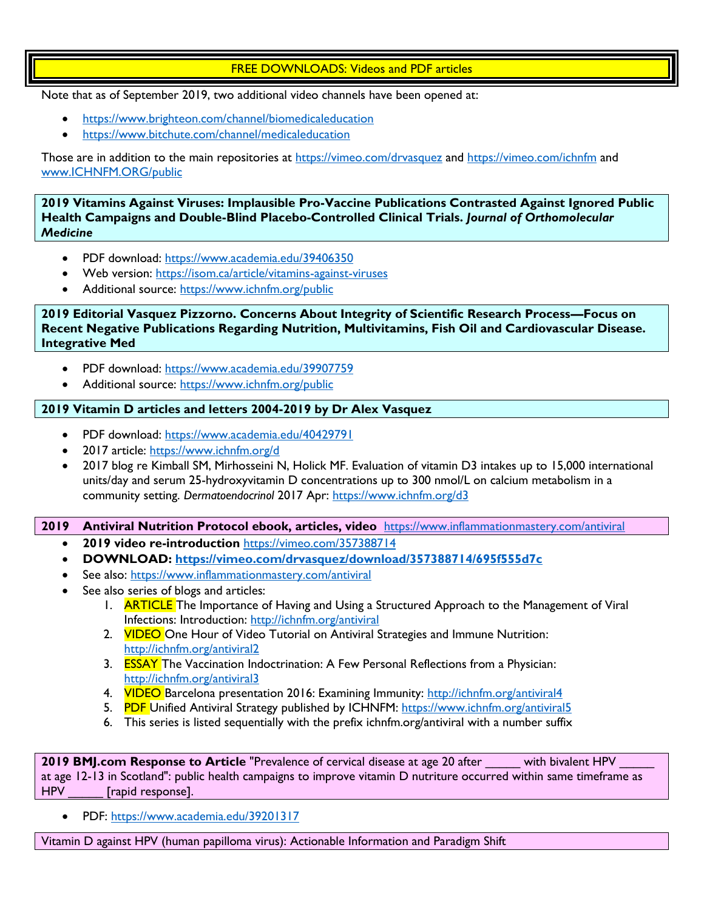# FREE DOWNLOADS: Videos and PDF articles

Note that as of September 2019, two additional video channels have been opened at:

- <https://www.brighteon.com/channel/biomedicaleducation>
- <https://www.bitchute.com/channel/medicaleducation>

Those are in addition to the main repositories at<https://vimeo.com/drvasquez> and<https://vimeo.com/ichnfm> and [www.ICHNFM.ORG/public](http://www.ichnfm.org/public)

**2019 Vitamins Against Viruses: Implausible Pro-Vaccine Publications Contrasted Against Ignored Public Health Campaigns and Double-Blind Placebo-Controlled Clinical Trials.** *Journal of Orthomolecular Medicine*

- PDF download:<https://www.academia.edu/39406350>
- Web version:<https://isom.ca/article/vitamins-against-viruses>
- Additional source:<https://www.ichnfm.org/public>

**2019 Editorial Vasquez Pizzorno. Concerns About Integrity of Scientific Research Process—Focus on Recent Negative Publications Regarding Nutrition, Multivitamins, Fish Oil and Cardiovascular Disease. Integrative Med** 

- PDF download:<https://www.academia.edu/39907759>
- Additional source:<https://www.ichnfm.org/public>

# **2019 Vitamin D articles and letters 2004-2019 by Dr Alex Vasquez**

- PDF download:<https://www.academia.edu/40429791>
- 2017 article:<https://www.ichnfm.org/d>
- 2017 blog re Kimball SM, Mirhosseini N, Holick MF. Evaluation of vitamin D3 intakes up to 15,000 international units/day and serum 25-hydroxyvitamin D concentrations up to 300 nmol/L on calcium metabolism in a community setting. *Dermatoendocrinol* 2017 Apr:<https://www.ichnfm.org/d3>

# **2019 Antiviral Nutrition Protocol ebook, articles, video** <https://www.inflammationmastery.com/antiviral>

- **2019 video re-introduction** <https://vimeo.com/357388714>
- **DOWNLOAD:<https://vimeo.com/drvasquez/download/357388714/695f555d7c>**
- See also:<https://www.inflammationmastery.com/antiviral>
- See also series of blogs and articles:
	- 1. **ARTICLE** The Importance of Having and Using a Structured Approach to the Management of Viral Infections: Introduction:<http://ichnfm.org/antiviral>
	- 2. VIDEO One Hour of Video Tutorial on Antiviral Strategies and Immune Nutrition: <http://ichnfm.org/antiviral2>
	- 3. **ESSAY** The Vaccination Indoctrination: A Few Personal Reflections from a Physician: <http://ichnfm.org/antiviral3>
	- 4. **VIDEO** Barcelona presentation 2016: Examining Immunity: <http://ichnfm.org/antiviral4>
	- 5. PDF Unified Antiviral Strategy published by ICHNFM: <https://www.ichnfm.org/antiviral5>
	- 6. This series is listed sequentially with the prefix ichnfm.org/antiviral with a number suffix

**2019 BMJ.com Response to Article** "Prevalence of cervical disease at age 20 after with bivalent HPV at age 12-13 in Scotland": public health campaigns to improve vitamin D nutriture occurred within same timeframe as HPV [rapid response].

• PDF: <https://www.academia.edu/39201317>

Vitamin D against HPV (human papilloma virus): Actionable Information and Paradigm Shift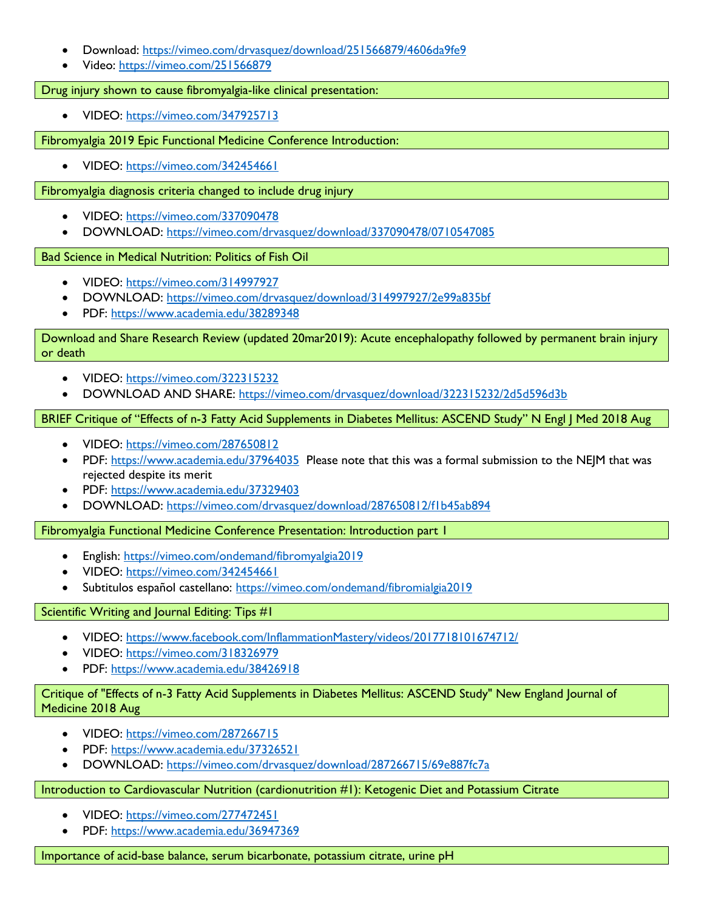- Download:<https://vimeo.com/drvasquez/download/251566879/4606da9fe9>
- Video:<https://vimeo.com/251566879>

Drug injury shown to cause fibromyalgia-like clinical presentation:

• VIDEO:<https://vimeo.com/347925713>

Fibromyalgia 2019 Epic Functional Medicine Conference Introduction:

• VIDEO:<https://vimeo.com/342454661>

Fibromyalgia diagnosis criteria changed to include drug injury

- VIDEO:<https://vimeo.com/337090478>
- DOWNLOAD:<https://vimeo.com/drvasquez/download/337090478/0710547085>

Bad Science in Medical Nutrition: Politics of Fish Oil

- VIDEO:<https://vimeo.com/314997927>
- DOWNLOAD:<https://vimeo.com/drvasquez/download/314997927/2e99a835bf>
- PDF:<https://www.academia.edu/38289348>

Download and Share Research Review (updated 20mar2019): Acute encephalopathy followed by permanent brain injury or death

- VIDEO:<https://vimeo.com/322315232>
- DOWNLOAD AND SHARE:<https://vimeo.com/drvasquez/download/322315232/2d5d596d3b>

# BRIEF Critique of "Effects of n-3 Fatty Acid Supplements in Diabetes Mellitus: ASCEND Study" N Engl J Med 2018 Aug

- VIDEO:<https://vimeo.com/287650812>
- PDF:<https://www.academia.edu/37964035> Please note that this was a formal submission to the NEJM that was rejected despite its merit
- PDF:<https://www.academia.edu/37329403>
- DOWNLOAD:<https://vimeo.com/drvasquez/download/287650812/f1b45ab894>

Fibromyalgia Functional Medicine Conference Presentation: Introduction part 1

- English:<https://vimeo.com/ondemand/fibromyalgia2019>
- VIDEO:<https://vimeo.com/342454661>
- Subtitulos español castellano:<https://vimeo.com/ondemand/fibromialgia2019>

Scientific Writing and Journal Editing: Tips #1

- VIDEO:<https://www.facebook.com/InflammationMastery/videos/2017718101674712/>
- VIDEO:<https://vimeo.com/318326979>
- PDF:<https://www.academia.edu/38426918>

# Critique of "Effects of n-3 Fatty Acid Supplements in Diabetes Mellitus: ASCEND Study" New England Journal of Medicine 2018 Aug

- VIDEO:<https://vimeo.com/287266715>
- PDF:<https://www.academia.edu/37326521>
- DOWNLOAD:<https://vimeo.com/drvasquez/download/287266715/69e887fc7a>

# Introduction to Cardiovascular Nutrition (cardionutrition #1): Ketogenic Diet and Potassium Citrate

- VIDEO:<https://vimeo.com/277472451>
- PDF:<https://www.academia.edu/36947369>

Importance of acid-base balance, serum bicarbonate, potassium citrate, urine pH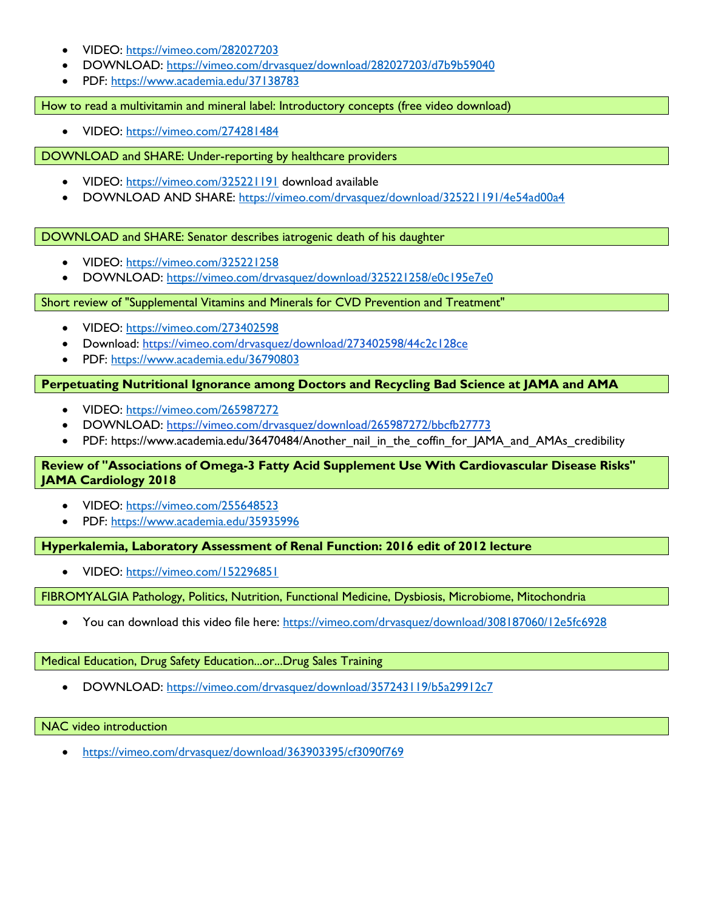- VIDEO:<https://vimeo.com/282027203>
- DOWNLOAD:<https://vimeo.com/drvasquez/download/282027203/d7b9b59040>
- PDF: <https://www.academia.edu/37138783>

How to read a multivitamin and mineral label: Introductory concepts (free video download)

• VIDEO:<https://vimeo.com/274281484>

DOWNLOAD and SHARE: Under-reporting by healthcare providers

- VIDEO:<https://vimeo.com/325221191> download available
- DOWNLOAD AND SHARE:<https://vimeo.com/drvasquez/download/325221191/4e54ad00a4>

DOWNLOAD and SHARE: Senator describes iatrogenic death of his daughter

- VIDEO:<https://vimeo.com/325221258>
- DOWNLOAD:<https://vimeo.com/drvasquez/download/325221258/e0c195e7e0>

Short review of "Supplemental Vitamins and Minerals for CVD Prevention and Treatment"

- VIDEO:<https://vimeo.com/273402598>
- Download:<https://vimeo.com/drvasquez/download/273402598/44c2c128ce>
- PDF:<https://www.academia.edu/36790803>

# **Perpetuating Nutritional Ignorance among Doctors and Recycling Bad Science at JAMA and AMA**

- VIDEO:<https://vimeo.com/265987272>
- DOWNLOAD:<https://vimeo.com/drvasquez/download/265987272/bbcfb27773>
- PDF: https://www.academia.edu/36470484/Another\_nail\_in\_the\_coffin\_for\_JAMA\_and\_AMAs\_credibility

# **Review of "Associations of Omega-3 Fatty Acid Supplement Use With Cardiovascular Disease Risks" JAMA Cardiology 2018**

- VIDEO:<https://vimeo.com/255648523>
- PDF:<https://www.academia.edu/35935996>

**Hyperkalemia, Laboratory Assessment of Renal Function: 2016 edit of 2012 lecture**

• VIDEO:<https://vimeo.com/152296851>

FIBROMYALGIA Pathology, Politics, Nutrition, Functional Medicine, Dysbiosis, Microbiome, Mitochondria

• You can download this video file here:<https://vimeo.com/drvasquez/download/308187060/12e5fc6928>

Medical Education, Drug Safety Education...or...Drug Sales Training

• DOWNLOAD:<https://vimeo.com/drvasquez/download/357243119/b5a29912c7>

NAC video introduction

• <https://vimeo.com/drvasquez/download/363903395/cf3090f769>